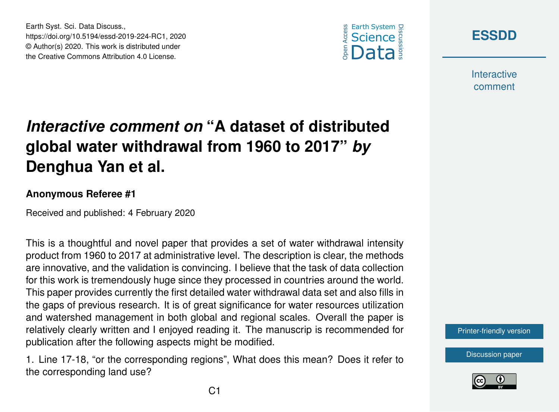



**Interactive** comment

## *Interactive comment on* **"A dataset of distributed global water withdrawal from 1960 to 2017"** *by* **Denghua Yan et al.**

## **Anonymous Referee #1**

Earth Syst. Sci. Data Discuss.,

https://doi.org/10.5194/essd-2019-224-RC1, 2020 © Author(s) 2020. This work is distributed under the Creative Commons Attribution 4.0 License.

Received and published: 4 February 2020

This is a thoughtful and novel paper that provides a set of water withdrawal intensity product from 1960 to 2017 at administrative level. The description is clear, the methods are innovative, and the validation is convincing. I believe that the task of data collection for this work is tremendously huge since they processed in countries around the world. This paper provides currently the first detailed water withdrawal data set and also fills in the gaps of previous research. It is of great significance for water resources utilization and watershed management in both global and regional scales. Overall the paper is relatively clearly written and I enjoyed reading it. The manuscrip is recommended for publication after the following aspects might be modified.

1. Line 17-18, "or the corresponding regions", What does this mean? Does it refer to the corresponding land use?

[Printer-friendly version](https://www.earth-syst-sci-data-discuss.net/essd-2019-224/essd-2019-224-RC1-print.pdf)

[Discussion paper](https://www.earth-syst-sci-data-discuss.net/essd-2019-224)